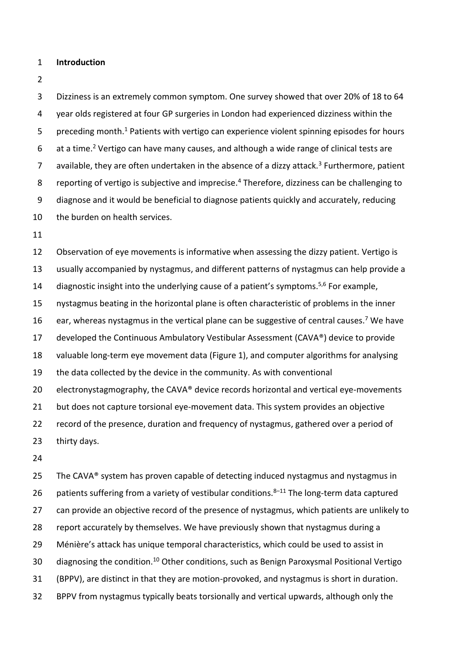## **Introduction**

 Dizziness is an extremely common symptom. One survey showed that over 20% of 18 to 64 year olds registered at four GP surgeries in London had experienced dizziness within the 5 preceding month.<sup>1</sup> Patients with vertigo can experience violent spinning episodes for hours 6 at a time.<sup>2</sup> Vertigo can have many causes, and although a wide range of clinical tests are 7 available, they are often undertaken in the absence of a dizzy attack.<sup>3</sup> Furthermore, patient 8 reporting of vertigo is subjective and imprecise.<sup>4</sup> Therefore, dizziness can be challenging to diagnose and it would be beneficial to diagnose patients quickly and accurately, reducing the burden on health services.

 Observation of eye movements is informative when assessing the dizzy patient. Vertigo is usually accompanied by nystagmus, and different patterns of nystagmus can help provide a 14 diagnostic insight into the underlying cause of a patient's symptoms.<sup>5,6</sup> For example, nystagmus beating in the horizontal plane is often characteristic of problems in the inner 16 ear, whereas nystagmus in the vertical plane can be suggestive of central causes.<sup>7</sup> We have developed the Continuous Ambulatory Vestibular Assessment (CAVA®) device to provide valuable long-term eye movement data (Figure 1), and computer algorithms for analysing the data collected by the device in the community. As with conventional 20 electronystagmography, the CAVA® device records horizontal and vertical eye-movements but does not capture torsional eye-movement data. This system provides an objective record of the presence, duration and frequency of nystagmus, gathered over a period of thirty days.

25 The CAVA® system has proven capable of detecting induced nystagmus and nystagmus in 26 patients suffering from a variety of vestibular conditions. $8-11$  The long-term data captured 27 can provide an objective record of the presence of nystagmus, which patients are unlikely to report accurately by themselves. We have previously shown that nystagmus during a Ménière's attack has unique temporal characteristics, which could be used to assist in 30 diagnosing the condition.<sup>10</sup> Other conditions, such as Benign Paroxysmal Positional Vertigo (BPPV), are distinct in that they are motion-provoked, and nystagmus is short in duration. BPPV from nystagmus typically beats torsionally and vertical upwards, although only the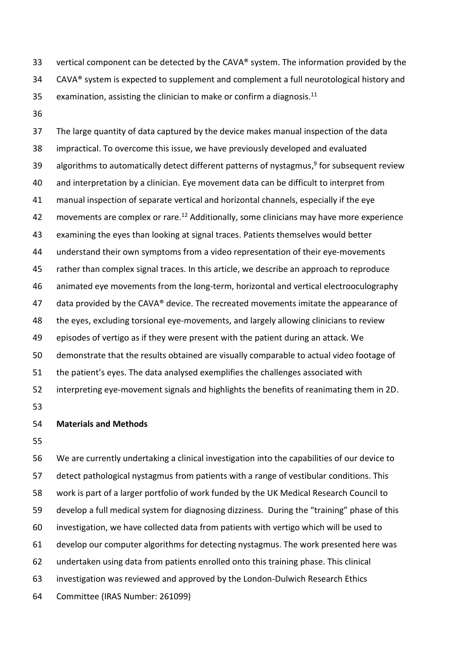vertical component can be detected by the CAVA® system. The information provided by the 34 CAVA® system is expected to supplement and complement a full neurotological history and 35  $\phantom{1}$  examination, assisting the clinician to make or confirm a diagnosis.<sup>11</sup>

 The large quantity of data captured by the device makes manual inspection of the data impractical. To overcome this issue, we have previously developed and evaluated 39 algorithms to automatically detect different patterns of nystagmus,<sup>9</sup> for subsequent review and interpretation by a clinician. Eye movement data can be difficult to interpret from manual inspection of separate vertical and horizontal channels, especially if the eye 42 movements are complex or rare.<sup>12</sup> Additionally, some clinicians may have more experience examining the eyes than looking at signal traces. Patients themselves would better understand their own symptoms from a video representation of their eye-movements rather than complex signal traces. In this article, we describe an approach to reproduce animated eye movements from the long-term, horizontal and vertical electrooculography 47 data provided by the CAVA<sup>®</sup> device. The recreated movements imitate the appearance of the eyes, excluding torsional eye-movements, and largely allowing clinicians to review episodes of vertigo as if they were present with the patient during an attack. We demonstrate that the results obtained are visually comparable to actual video footage of the patient's eyes. The data analysed exemplifies the challenges associated with interpreting eye-movement signals and highlights the benefits of reanimating them in 2D.

## **Materials and Methods**

 We are currently undertaking a clinical investigation into the capabilities of our device to detect pathological nystagmus from patients with a range of vestibular conditions. This work is part of a larger portfolio of work funded by the UK Medical Research Council to develop a full medical system for diagnosing dizziness. During the "training" phase of this investigation, we have collected data from patients with vertigo which will be used to develop our computer algorithms for detecting nystagmus. The work presented here was undertaken using data from patients enrolled onto this training phase. This clinical investigation was reviewed and approved by the London-Dulwich Research Ethics Committee (IRAS Number: 261099)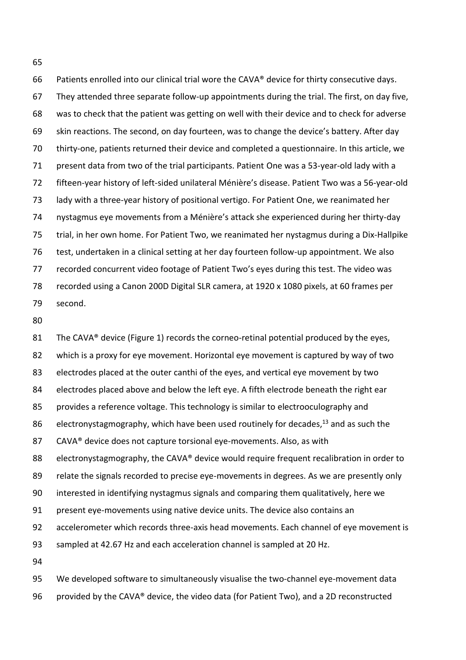Patients enrolled into our clinical trial wore the CAVA® device for thirty consecutive days. They attended three separate follow-up appointments during the trial. The first, on day five, was to check that the patient was getting on well with their device and to check for adverse skin reactions. The second, on day fourteen, was to change the device's battery. After day thirty-one, patients returned their device and completed a questionnaire. In this article, we present data from two of the trial participants. Patient One was a 53-year-old lady with a fifteen-year history of left-sided unilateral Ménière's disease. Patient Two was a 56-year-old lady with a three-year history of positional vertigo. For Patient One, we reanimated her nystagmus eye movements from a Ménière's attack she experienced during her thirty-day trial, in her own home. For Patient Two, we reanimated her nystagmus during a Dix-Hallpike test, undertaken in a clinical setting at her day fourteen follow-up appointment. We also recorded concurrent video footage of Patient Two's eyes during this test. The video was recorded using a Canon 200D Digital SLR camera, at 1920 x 1080 pixels, at 60 frames per second.

81 The CAVA® device (Figure 1) records the corneo-retinal potential produced by the eyes, which is a proxy for eye movement. Horizontal eye movement is captured by way of two electrodes placed at the outer canthi of the eyes, and vertical eye movement by two 84 electrodes placed above and below the left eye. A fifth electrode beneath the right ear provides a reference voltage. This technology is similar to electrooculography and 86 electronystagmography, which have been used routinely for decades,<sup>13</sup> and as such the 87 CAVA<sup>®</sup> device does not capture torsional eye-movements. Also, as with 88 electronystagmography, the CAVA® device would require frequent recalibration in order to relate the signals recorded to precise eye-movements in degrees. As we are presently only interested in identifying nystagmus signals and comparing them qualitatively, here we present eye-movements using native device units. The device also contains an accelerometer which records three-axis head movements. Each channel of eye movement is sampled at 42.67 Hz and each acceleration channel is sampled at 20 Hz. 

 We developed software to simultaneously visualise the two-channel eye-movement data provided by the CAVA® device, the video data (for Patient Two), and a 2D reconstructed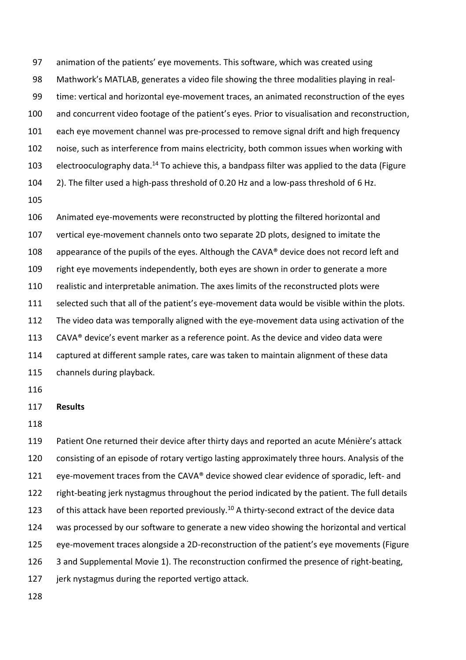animation of the patients' eye movements. This software, which was created using Mathwork's MATLAB, generates a video file showing the three modalities playing in real- time: vertical and horizontal eye-movement traces, an animated reconstruction of the eyes and concurrent video footage of the patient's eyes. Prior to visualisation and reconstruction, each eye movement channel was pre-processed to remove signal drift and high frequency noise, such as interference from mains electricity, both common issues when working with 103 electrooculography data.<sup>14</sup> To achieve this, a bandpass filter was applied to the data (Figure 2). The filter used a high-pass threshold of 0.20 Hz and a low-pass threshold of 6 Hz.

 Animated eye-movements were reconstructed by plotting the filtered horizontal and vertical eye-movement channels onto two separate 2D plots, designed to imitate the 108 appearance of the pupils of the eyes. Although the CAVA® device does not record left and right eye movements independently, both eyes are shown in order to generate a more realistic and interpretable animation. The axes limits of the reconstructed plots were selected such that all of the patient's eye-movement data would be visible within the plots. The video data was temporally aligned with the eye-movement data using activation of the CAVA® device's event marker as a reference point. As the device and video data were captured at different sample rates, care was taken to maintain alignment of these data channels during playback.

## **Results**

 Patient One returned their device after thirty days and reported an acute Ménière's attack consisting of an episode of rotary vertigo lasting approximately three hours. Analysis of the eye-movement traces from the CAVA® device showed clear evidence of sporadic, left- and right-beating jerk nystagmus throughout the period indicated by the patient. The full details 123 of this attack have been reported previously.<sup>10</sup> A thirty-second extract of the device data was processed by our software to generate a new video showing the horizontal and vertical eye-movement traces alongside a 2D-reconstruction of the patient's eye movements (Figure 126 3 and Supplemental Movie 1). The reconstruction confirmed the presence of right-beating, 127 jerk nystagmus during the reported vertigo attack.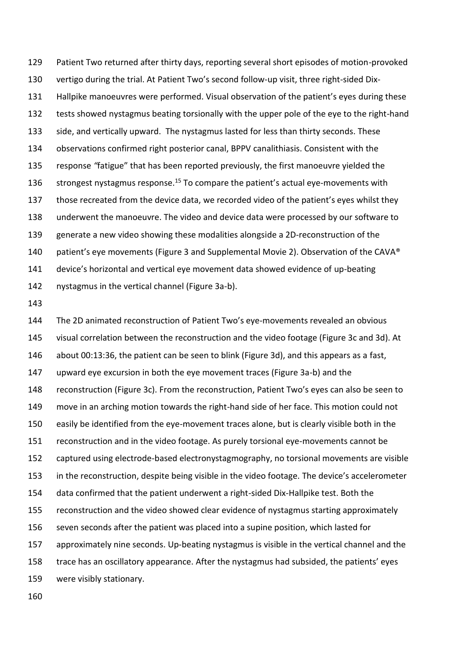Patient Two returned after thirty days, reporting several short episodes of motion-provoked vertigo during the trial. At Patient Two's second follow-up visit, three right-sided Dix- Hallpike manoeuvres were performed. Visual observation of the patient's eyes during these tests showed nystagmus beating torsionally with the upper pole of the eye to the right-hand side, and vertically upward. The nystagmus lasted for less than thirty seconds. These observations confirmed right posterior canal, BPPV canalithiasis. Consistent with the response *"*fatigue" that has been reported previously, the first manoeuvre yielded the 136 strongest nystagmus response.<sup>15</sup> To compare the patient's actual eye-movements with those recreated from the device data, we recorded video of the patient's eyes whilst they underwent the manoeuvre. The video and device data were processed by our software to generate a new video showing these modalities alongside a 2D-reconstruction of the 140 patient's eye movements (Figure 3 and Supplemental Movie 2). Observation of the CAVA® device's horizontal and vertical eye movement data showed evidence of up-beating nystagmus in the vertical channel (Figure 3a-b).

 The 2D animated reconstruction of Patient Two's eye-movements revealed an obvious visual correlation between the reconstruction and the video footage (Figure 3c and 3d). At about 00:13:36, the patient can be seen to blink (Figure 3d), and this appears as a fast, upward eye excursion in both the eye movement traces (Figure 3a-b) and the reconstruction (Figure 3c). From the reconstruction, Patient Two's eyes can also be seen to move in an arching motion towards the right-hand side of her face. This motion could not easily be identified from the eye-movement traces alone, but is clearly visible both in the reconstruction and in the video footage. As purely torsional eye-movements cannot be captured using electrode-based electronystagmography, no torsional movements are visible in the reconstruction, despite being visible in the video footage. The device's accelerometer data confirmed that the patient underwent a right-sided Dix-Hallpike test. Both the reconstruction and the video showed clear evidence of nystagmus starting approximately seven seconds after the patient was placed into a supine position, which lasted for approximately nine seconds. Up-beating nystagmus is visible in the vertical channel and the trace has an oscillatory appearance. After the nystagmus had subsided, the patients' eyes were visibly stationary.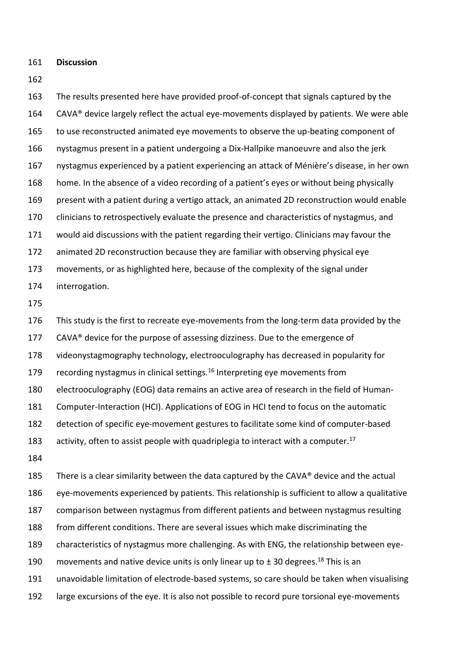**Discussion**

 The results presented here have provided proof-of-concept that signals captured by the 164 CAVA® device largely reflect the actual eye-movements displayed by patients. We were able to use reconstructed animated eye movements to observe the up-beating component of nystagmus present in a patient undergoing a Dix-Hallpike manoeuvre and also the jerk nystagmus experienced by a patient experiencing an attack of Ménière's disease, in her own home. In the absence of a video recording of a patient's eyes or without being physically present with a patient during a vertigo attack, an animated 2D reconstruction would enable clinicians to retrospectively evaluate the presence and characteristics of nystagmus, and would aid discussions with the patient regarding their vertigo. Clinicians may favour the animated 2D reconstruction because they are familiar with observing physical eye movements, or as highlighted here, because of the complexity of the signal under interrogation.

 This study is the first to recreate eye-movements from the long-term data provided by the 177 CAVA® device for the purpose of assessing dizziness. Due to the emergence of videonystagmography technology, electrooculography has decreased in popularity for 179 recording nystagmus in clinical settings.<sup>16</sup> Interpreting eye movements from electrooculography (EOG) data remains an active area of research in the field of Human- Computer-Interaction (HCI). Applications of EOG in HCI tend to focus on the automatic detection of specific eye-movement gestures to facilitate some kind of computer-based 183 activity, often to assist people with quadriplegia to interact with a computer.<sup>17</sup> 

185 There is a clear similarity between the data captured by the CAVA<sup>®</sup> device and the actual eye-movements experienced by patients. This relationship is sufficient to allow a qualitative comparison between nystagmus from different patients and between nystagmus resulting from different conditions. There are several issues which make discriminating the characteristics of nystagmus more challenging. As with ENG, the relationship between eye-190 movements and native device units is only linear up to  $\pm$  30 degrees.<sup>18</sup> This is an unavoidable limitation of electrode-based systems, so care should be taken when visualising large excursions of the eye. It is also not possible to record pure torsional eye-movements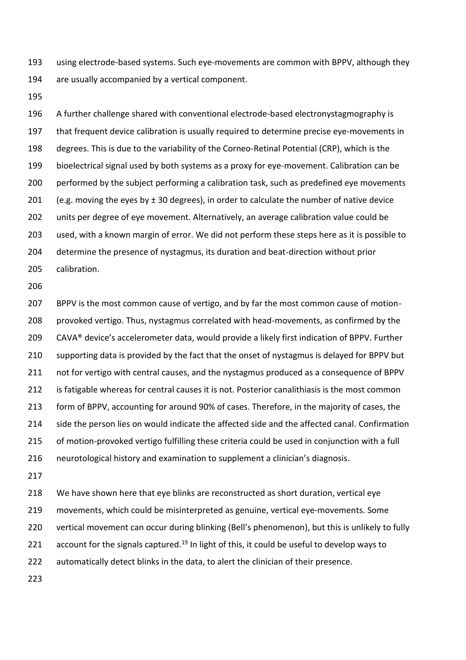using electrode-based systems. Such eye-movements are common with BPPV, although they are usually accompanied by a vertical component.

 A further challenge shared with conventional electrode-based electronystagmography is that frequent device calibration is usually required to determine precise eye-movements in degrees. This is due to the variability of the Corneo-Retinal Potential (CRP), which is the bioelectrical signal used by both systems as a proxy for eye-movement. Calibration can be performed by the subject performing a calibration task, such as predefined eye movements 201 (e.g. moving the eyes by  $\pm$  30 degrees), in order to calculate the number of native device units per degree of eye movement. Alternatively, an average calibration value could be used, with a known margin of error. We did not perform these steps here as it is possible to determine the presence of nystagmus, its duration and beat-direction without prior calibration.

 BPPV is the most common cause of vertigo, and by far the most common cause of motion- provoked vertigo. Thus, nystagmus correlated with head-movements, as confirmed by the 209 CAVA® device's accelerometer data, would provide a likely first indication of BPPV. Further supporting data is provided by the fact that the onset of nystagmus is delayed for BPPV but not for vertigo with central causes, and the nystagmus produced as a consequence of BPPV 212 is fatigable whereas for central causes it is not. Posterior canalithiasis is the most common form of BPPV, accounting for around 90% of cases. Therefore, in the majority of cases, the side the person lies on would indicate the affected side and the affected canal. Confirmation 215 of motion-provoked vertigo fulfilling these criteria could be used in conjunction with a full neurotological history and examination to supplement a clinician's diagnosis.

 We have shown here that eye blinks are reconstructed as short duration, vertical eye movements, which could be misinterpreted as genuine, vertical eye-movements. Some vertical movement can occur during blinking (Bell's phenomenon), but this is unlikely to fully  $\,$  account for the signals captured.<sup>19</sup> In light of this, it could be useful to develop ways to automatically detect blinks in the data, to alert the clinician of their presence.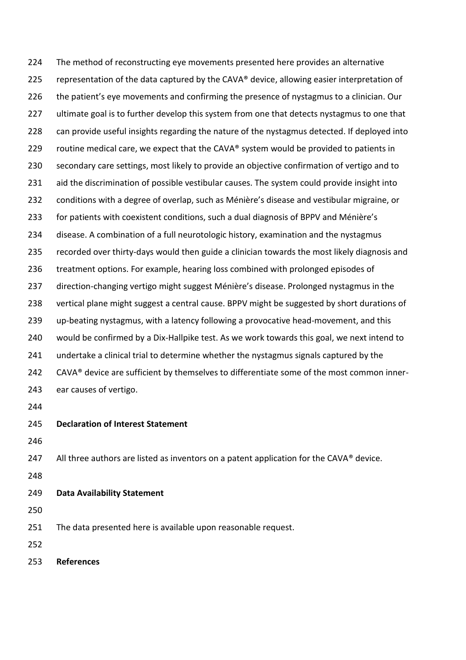The method of reconstructing eye movements presented here provides an alternative 225 representation of the data captured by the CAVA® device, allowing easier interpretation of the patient's eye movements and confirming the presence of nystagmus to a clinician. Our ultimate goal is to further develop this system from one that detects nystagmus to one that can provide useful insights regarding the nature of the nystagmus detected. If deployed into 229 routine medical care, we expect that the CAVA® system would be provided to patients in secondary care settings, most likely to provide an objective confirmation of vertigo and to 231 aid the discrimination of possible vestibular causes. The system could provide insight into conditions with a degree of overlap, such as Ménière's disease and vestibular migraine, or for patients with coexistent conditions, such a dual diagnosis of BPPV and Ménière's disease. A combination of a full neurotologic history, examination and the nystagmus recorded over thirty-days would then guide a clinician towards the most likely diagnosis and treatment options. For example, hearing loss combined with prolonged episodes of direction-changing vertigo might suggest Ménière's disease. Prolonged nystagmus in the vertical plane might suggest a central cause. BPPV might be suggested by short durations of up-beating nystagmus, with a latency following a provocative head-movement, and this would be confirmed by a Dix-Hallpike test. As we work towards this goal, we next intend to undertake a clinical trial to determine whether the nystagmus signals captured by the 242 CAVA® device are sufficient by themselves to differentiate some of the most common inner- ear causes of vertigo. **Declaration of Interest Statement**

247 All three authors are listed as inventors on a patent application for the CAVA $\degree$  device.

## **Data Availability Statement**

The data presented here is available upon reasonable request.

**References**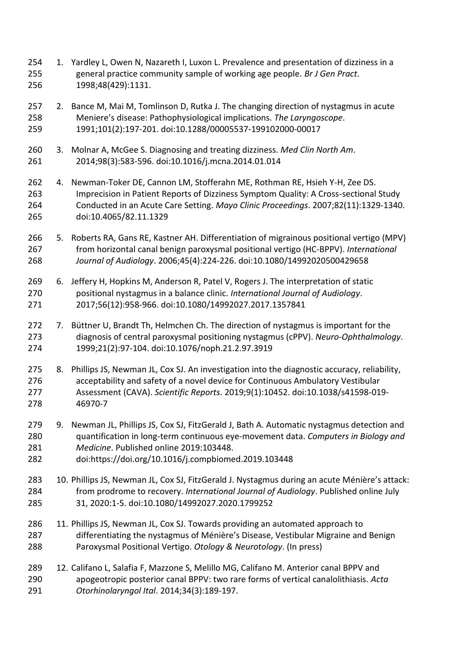- 254 1. Yardley L, Owen N, Nazareth I, Luxon L. Prevalence and presentation of dizziness in a general practice community sample of working age people. *Br J Gen Pract*. 1998;48(429):1131.
- 257 2. Bance M, Mai M, Tomlinson D, Rutka J. The changing direction of nystagmus in acute Meniere's disease: Pathophysiological implications. *The Laryngoscope*. 1991;101(2):197-201. doi:10.1288/00005537-199102000-00017
- 3. Molnar A, McGee S. Diagnosing and treating dizziness. *Med Clin North Am*. 2014;98(3):583-596. doi:10.1016/j.mcna.2014.01.014
- 4. Newman-Toker DE, Cannon LM, Stofferahn ME, Rothman RE, Hsieh Y-H, Zee DS. Imprecision in Patient Reports of Dizziness Symptom Quality: A Cross-sectional Study Conducted in an Acute Care Setting. *Mayo Clinic Proceedings*. 2007;82(11):1329-1340. doi:10.4065/82.11.1329
- 5. Roberts RA, Gans RE, Kastner AH. Differentiation of migrainous positional vertigo (MPV) from horizontal canal benign paroxysmal positional vertigo (HC-BPPV). *International Journal of Audiology*. 2006;45(4):224-226. doi:10.1080/14992020500429658
- 6. Jeffery H, Hopkins M, Anderson R, Patel V, Rogers J. The interpretation of static positional nystagmus in a balance clinic. *International Journal of Audiology*. 2017;56(12):958-966. doi:10.1080/14992027.2017.1357841
- 272 7. Büttner U, Brandt Th, Helmchen Ch. The direction of nystagmus is important for the diagnosis of central paroxysmal positioning nystagmus (cPPV). *Neuro-Ophthalmology*. 1999;21(2):97-104. doi:10.1076/noph.21.2.97.3919
- 8. Phillips JS, Newman JL, Cox SJ. An investigation into the diagnostic accuracy, reliability, acceptability and safety of a novel device for Continuous Ambulatory Vestibular Assessment (CAVA). *Scientific Reports*. 2019;9(1):10452. doi:10.1038/s41598-019- 46970-7
- 279 9. Newman JL, Phillips JS, Cox SJ, FitzGerald J, Bath A. Automatic nystagmus detection and quantification in long-term continuous eye-movement data. *Computers in Biology and Medicine*. Published online 2019:103448.
- doi:https://doi.org/10.1016/j.compbiomed.2019.103448
- 10. Phillips JS, Newman JL, Cox SJ, FitzGerald J. Nystagmus during an acute Ménière's attack: from prodrome to recovery. *International Journal of Audiology*. Published online July 31, 2020:1-5. doi:10.1080/14992027.2020.1799252
- 11. Phillips JS, Newman JL, Cox SJ. Towards providing an automated approach to differentiating the nystagmus of Ménière's Disease, Vestibular Migraine and Benign Paroxysmal Positional Vertigo. *Otology & Neurotology*. (In press)
- 12. Califano L, Salafia F, Mazzone S, Melillo MG, Califano M. Anterior canal BPPV and apogeotropic posterior canal BPPV: two rare forms of vertical canalolithiasis. *Acta Otorhinolaryngol Ital*. 2014;34(3):189-197.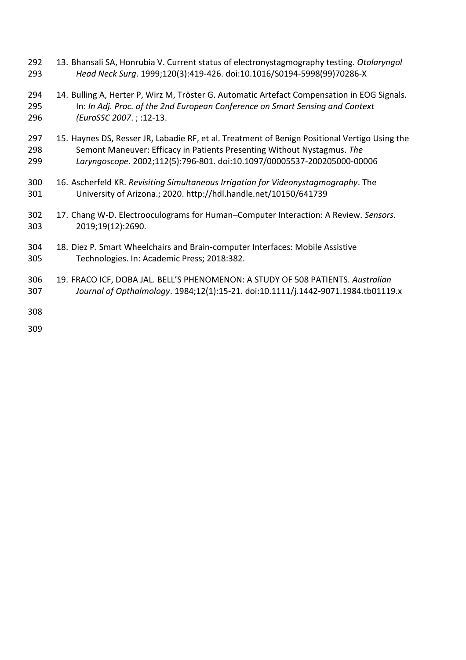- 13. Bhansali SA, Honrubia V. Current status of electronystagmography testing. *Otolaryngol Head Neck Surg*. 1999;120(3):419-426. doi:10.1016/S0194-5998(99)70286-X
- 14. Bulling A, Herter P, Wirz M, Tröster G. Automatic Artefact Compensation in EOG Signals. In: *In Adj. Proc. of the 2nd European Conference on Smart Sensing and Context (EuroSSC 2007*. ; :12-13.
- 297 15. Haynes DS, Resser JR, Labadie RF, et al. Treatment of Benign Positional Vertigo Using the Semont Maneuver: Efficacy in Patients Presenting Without Nystagmus. *The Laryngoscope*. 2002;112(5):796-801. doi:10.1097/00005537-200205000-00006
- 16. Ascherfeld KR. *Revisiting Simultaneous Irrigation for Videonystagmography*. The University of Arizona.; 2020. http://hdl.handle.net/10150/641739
- 17. Chang W-D. Electrooculograms for Human–Computer Interaction: A Review. *Sensors*. 2019;19(12):2690.
- 18. Diez P. Smart Wheelchairs and Brain-computer Interfaces: Mobile Assistive Technologies. In: Academic Press; 2018:382.
- 19. FRACO ICF, DOBA JAL. BELL'S PHENOMENON: A STUDY OF 508 PATIENTS. *Australian Journal of Opthalmology*. 1984;12(1):15-21. doi:10.1111/j.1442-9071.1984.tb01119.x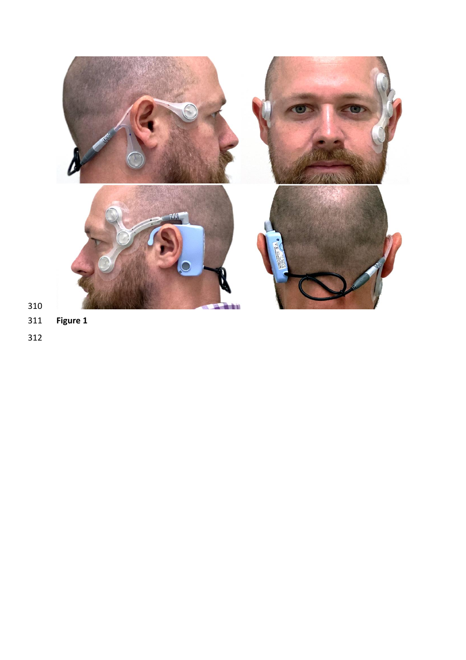

- **Figure 1**
-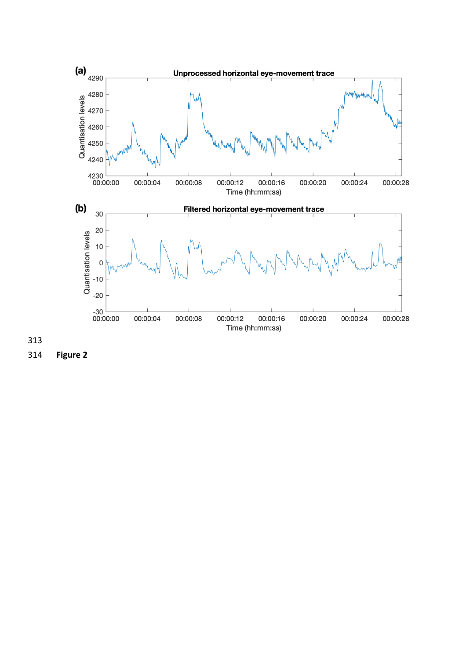



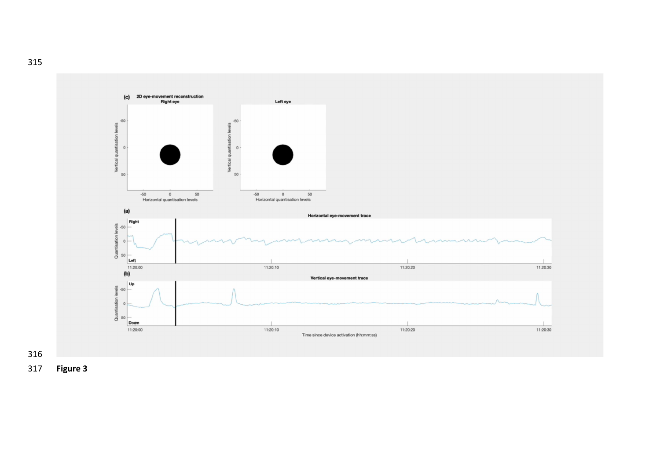



**Figure 3**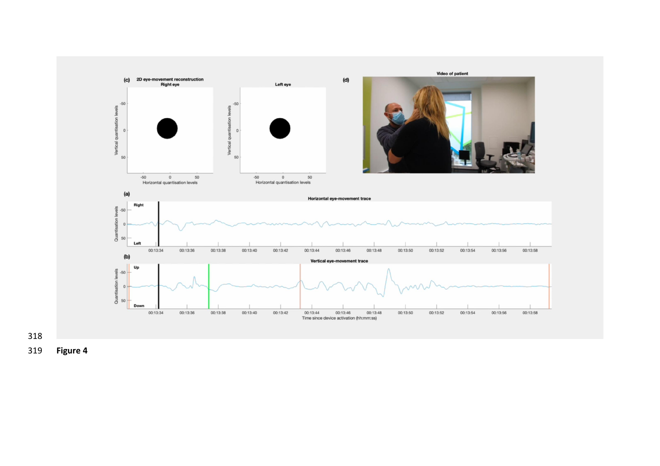

**Figure 4**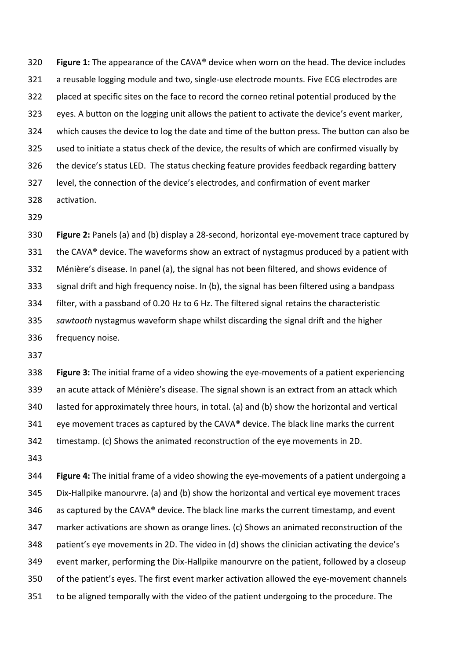**Figure 1:** The appearance of the CAVA® device when worn on the head. The device includes a reusable logging module and two, single-use electrode mounts. Five ECG electrodes are placed at specific sites on the face to record the corneo retinal potential produced by the eyes. A button on the logging unit allows the patient to activate the device's event marker, which causes the device to log the date and time of the button press. The button can also be used to initiate a status check of the device, the results of which are confirmed visually by the device's status LED. The status checking feature provides feedback regarding battery level, the connection of the device's electrodes, and confirmation of event marker activation.

 **Figure 2:** Panels (a) and (b) display a 28-second, horizontal eye-movement trace captured by 331 the CAVA® device. The waveforms show an extract of nystagmus produced by a patient with Ménière's disease. In panel (a), the signal has not been filtered, and shows evidence of signal drift and high frequency noise. In (b), the signal has been filtered using a bandpass filter, with a passband of 0.20 Hz to 6 Hz. The filtered signal retains the characteristic *sawtooth* nystagmus waveform shape whilst discarding the signal drift and the higher frequency noise.

 **Figure 3:** The initial frame of a video showing the eye-movements of a patient experiencing an acute attack of Ménière's disease. The signal shown is an extract from an attack which lasted for approximately three hours, in total. (a) and (b) show the horizontal and vertical eye movement traces as captured by the CAVA® device. The black line marks the current timestamp. (c) Shows the animated reconstruction of the eye movements in 2D.

 **Figure 4:** The initial frame of a video showing the eye-movements of a patient undergoing a Dix-Hallpike manourvre. (a) and (b) show the horizontal and vertical eye movement traces 346 as captured by the CAVA® device. The black line marks the current timestamp, and event marker activations are shown as orange lines. (c) Shows an animated reconstruction of the patient's eye movements in 2D. The video in (d) shows the clinician activating the device's event marker, performing the Dix-Hallpike manourvre on the patient, followed by a closeup of the patient's eyes. The first event marker activation allowed the eye-movement channels to be aligned temporally with the video of the patient undergoing to the procedure. The